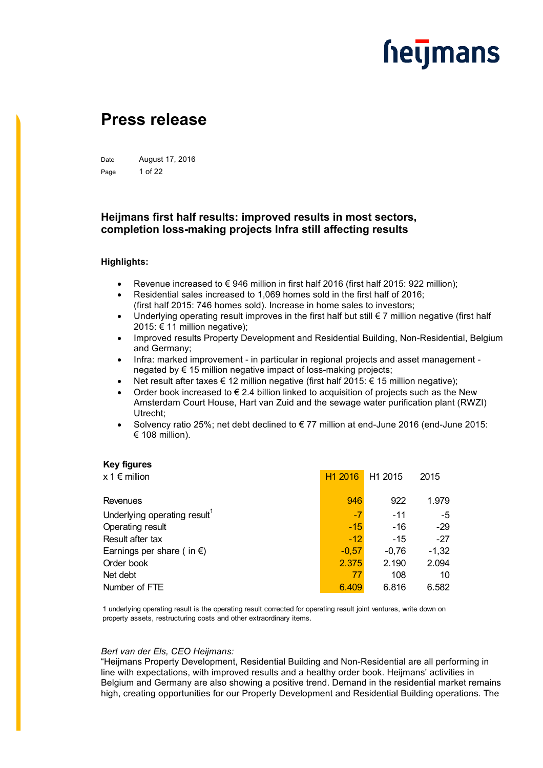### <u>heymans</u>

### **Press release**

Date August 17, 2016 Page 1 of 22

### **Heijmans first half results: improved results in most sectors, completion loss-making projects Infra still affecting results**

#### **Highlights:**

- Revenue increased to € 946 million in first half 2016 (first half 2015: 922 million);
- Residential sales increased to 1,069 homes sold in the first half of 2016; (first half 2015: 746 homes sold). Increase in home sales to investors;
- Underlying operating result improves in the first half but still  $\epsilon$  7 million negative (first half 2015: € 11 million negative):
- Improved results Property Development and Residential Building, Non-Residential, Belgium and Germany;
- Infra: marked improvement in particular in regional projects and asset management negated by € 15 million negative impact of loss-making projects;
- Net result after taxes € 12 million negative (first half 2015:  $€$  15 million negative);
- Order book increased to  $\epsilon$  2.4 billion linked to acquisition of projects such as the New Amsterdam Court House, Hart van Zuid and the sewage water purification plant (RWZI) Utrecht;
- Solvency ratio 25%; net debt declined to € 77 million at end-June 2016 (end-June 2015: € 108 million).

#### **Key figures**

| H <sub>1</sub> 2016 | H <sub>1</sub> 2015 | 2015    |
|---------------------|---------------------|---------|
| 946                 | 922                 | 1.979   |
| $-7$                | $-11$               | -5      |
| $-15$               | $-16$               | $-29$   |
| $-12$               | $-15$               | $-27$   |
| $-0.57$             | $-0.76$             | $-1,32$ |
| 2.375               | 2.190               | 2.094   |
| 77                  | 108                 | 10      |
| 6.409               | 6.816               | 6.582   |
|                     |                     |         |

1 underlying operating result is the operating result corrected for operating result joint ventures, write down on property assets, restructuring costs and other extraordinary items.

#### *Bert van der Els, CEO Heijmans:*

"Heijmans Property Development, Residential Building and Non-Residential are all performing in line with expectations, with improved results and a healthy order book. Heijmans' activities in Belgium and Germany are also showing a positive trend. Demand in the residential market remains high, creating opportunities for our Property Development and Residential Building operations. The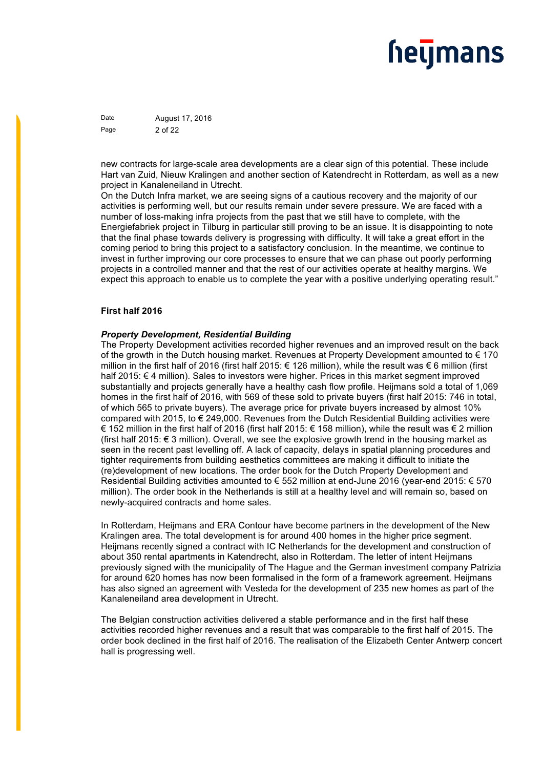Date **August 17, 2016** Page 2 of 22

new contracts for large-scale area developments are a clear sign of this potential. These include Hart van Zuid, Nieuw Kralingen and another section of Katendrecht in Rotterdam, as well as a new project in Kanaleneiland in Utrecht.

On the Dutch Infra market, we are seeing signs of a cautious recovery and the majority of our activities is performing well, but our results remain under severe pressure. We are faced with a number of loss-making infra projects from the past that we still have to complete, with the Energiefabriek project in Tilburg in particular still proving to be an issue. It is disappointing to note that the final phase towards delivery is progressing with difficulty. It will take a great effort in the coming period to bring this project to a satisfactory conclusion. In the meantime, we continue to invest in further improving our core processes to ensure that we can phase out poorly performing projects in a controlled manner and that the rest of our activities operate at healthy margins. We expect this approach to enable us to complete the year with a positive underlying operating result."

#### **First half 2016**

#### *Property Development, Residential Building*

The Property Development activities recorded higher revenues and an improved result on the back of the growth in the Dutch housing market. Revenues at Property Development amounted to  $\epsilon$  170 million in the first half of 2016 (first half 2015: € 126 million), while the result was € 6 million (first half 2015: € 4 million). Sales to investors were higher. Prices in this market segment improved substantially and projects generally have a healthy cash flow profile. Heijmans sold a total of 1,069 homes in the first half of 2016, with 569 of these sold to private buyers (first half 2015: 746 in total, of which 565 to private buyers). The average price for private buyers increased by almost 10% compared with 2015, to € 249,000. Revenues from the Dutch Residential Building activities were € 152 million in the first half of 2016 (first half 2015: € 158 million), while the result was € 2 million (first half 2015:  $\epsilon$  3 million). Overall, we see the explosive growth trend in the housing market as seen in the recent past levelling off. A lack of capacity, delays in spatial planning procedures and tighter requirements from building aesthetics committees are making it difficult to initiate the (re)development of new locations. The order book for the Dutch Property Development and Residential Building activities amounted to € 552 million at end-June 2016 (year-end 2015: € 570 million). The order book in the Netherlands is still at a healthy level and will remain so, based on newly-acquired contracts and home sales.

In Rotterdam, Heijmans and ERA Contour have become partners in the development of the New Kralingen area. The total development is for around 400 homes in the higher price segment. Heijmans recently signed a contract with IC Netherlands for the development and construction of about 350 rental apartments in Katendrecht, also in Rotterdam. The letter of intent Heijmans previously signed with the municipality of The Hague and the German investment company Patrizia for around 620 homes has now been formalised in the form of a framework agreement. Heijmans has also signed an agreement with Vesteda for the development of 235 new homes as part of the Kanaleneiland area development in Utrecht.

The Belgian construction activities delivered a stable performance and in the first half these activities recorded higher revenues and a result that was comparable to the first half of 2015. The order book declined in the first half of 2016. The realisation of the Elizabeth Center Antwerp concert hall is progressing well.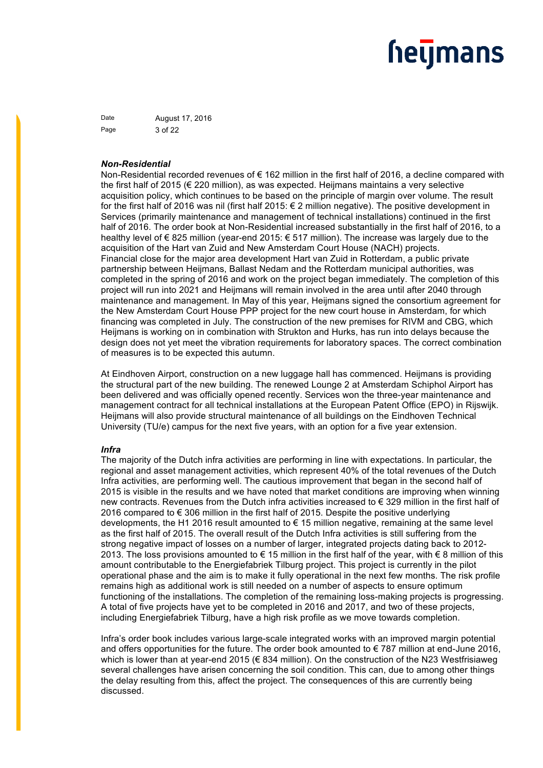### <u>heymans</u>

Date **August 17, 2016** Page 3 of 22

#### *Non-Residential*

Non-Residential recorded revenues of € 162 million in the first half of 2016, a decline compared with the first half of 2015 (€ 220 million), as was expected. Heijmans maintains a very selective acquisition policy, which continues to be based on the principle of margin over volume. The result for the first half of 2016 was nil (first half 2015: € 2 million negative). The positive development in Services (primarily maintenance and management of technical installations) continued in the first half of 2016. The order book at Non-Residential increased substantially in the first half of 2016, to a healthy level of € 825 million (year-end 2015: € 517 million). The increase was largely due to the acquisition of the Hart van Zuid and New Amsterdam Court House (NACH) projects. Financial close for the major area development Hart van Zuid in Rotterdam, a public private partnership between Heijmans, Ballast Nedam and the Rotterdam municipal authorities, was completed in the spring of 2016 and work on the project began immediately. The completion of this project will run into 2021 and Heijmans will remain involved in the area until after 2040 through maintenance and management. In May of this year, Heijmans signed the consortium agreement for the New Amsterdam Court House PPP project for the new court house in Amsterdam, for which financing was completed in July. The construction of the new premises for RIVM and CBG, which Heijmans is working on in combination with Strukton and Hurks, has run into delays because the design does not yet meet the vibration requirements for laboratory spaces. The correct combination of measures is to be expected this autumn.

At Eindhoven Airport, construction on a new luggage hall has commenced. Heijmans is providing the structural part of the new building. The renewed Lounge 2 at Amsterdam Schiphol Airport has been delivered and was officially opened recently. Services won the three-year maintenance and management contract for all technical installations at the European Patent Office (EPO) in Rijswijk. Heijmans will also provide structural maintenance of all buildings on the Eindhoven Technical University (TU/e) campus for the next five years, with an option for a five year extension.

#### *Infra*

The majority of the Dutch infra activities are performing in line with expectations. In particular, the regional and asset management activities, which represent 40% of the total revenues of the Dutch Infra activities, are performing well. The cautious improvement that began in the second half of 2015 is visible in the results and we have noted that market conditions are improving when winning new contracts. Revenues from the Dutch infra activities increased to € 329 million in the first half of 2016 compared to € 306 million in the first half of 2015. Despite the positive underlying developments, the H1 2016 result amounted to € 15 million negative, remaining at the same level as the first half of 2015. The overall result of the Dutch Infra activities is still suffering from the strong negative impact of losses on a number of larger, integrated projects dating back to 2012- 2013. The loss provisions amounted to € 15 million in the first half of the year, with € 8 million of this amount contributable to the Energiefabriek Tilburg project. This project is currently in the pilot operational phase and the aim is to make it fully operational in the next few months. The risk profile remains high as additional work is still needed on a number of aspects to ensure optimum functioning of the installations. The completion of the remaining loss-making projects is progressing. A total of five projects have yet to be completed in 2016 and 2017, and two of these projects, including Energiefabriek Tilburg, have a high risk profile as we move towards completion.

Infra's order book includes various large-scale integrated works with an improved margin potential and offers opportunities for the future. The order book amounted to  $\epsilon$  787 million at end-June 2016, which is lower than at year-end 2015 (€ 834 million). On the construction of the N23 Westfrisiaweg several challenges have arisen concerning the soil condition. This can, due to among other things the delay resulting from this, affect the project. The consequences of this are currently being discussed.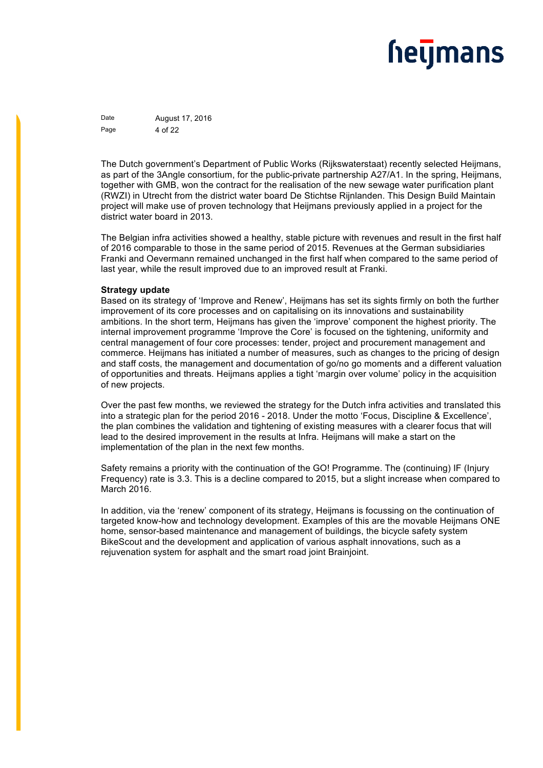Date **August 17, 2016** Page 4 of 22

The Dutch government's Department of Public Works (Rijkswaterstaat) recently selected Heijmans, as part of the 3Angle consortium, for the public-private partnership A27/A1. In the spring, Heijmans, together with GMB, won the contract for the realisation of the new sewage water purification plant (RWZI) in Utrecht from the district water board De Stichtse Rijnlanden. This Design Build Maintain project will make use of proven technology that Heijmans previously applied in a project for the district water board in 2013.

The Belgian infra activities showed a healthy, stable picture with revenues and result in the first half of 2016 comparable to those in the same period of 2015. Revenues at the German subsidiaries Franki and Oevermann remained unchanged in the first half when compared to the same period of last year, while the result improved due to an improved result at Franki.

#### **Strategy update**

Based on its strategy of 'Improve and Renew', Heijmans has set its sights firmly on both the further improvement of its core processes and on capitalising on its innovations and sustainability ambitions. In the short term, Heijmans has given the 'improve' component the highest priority. The internal improvement programme 'Improve the Core' is focused on the tightening, uniformity and central management of four core processes: tender, project and procurement management and commerce. Heijmans has initiated a number of measures, such as changes to the pricing of design and staff costs, the management and documentation of go/no go moments and a different valuation of opportunities and threats. Heijmans applies a tight 'margin over volume' policy in the acquisition of new projects.

Over the past few months, we reviewed the strategy for the Dutch infra activities and translated this into a strategic plan for the period 2016 - 2018. Under the motto 'Focus, Discipline & Excellence', the plan combines the validation and tightening of existing measures with a clearer focus that will lead to the desired improvement in the results at Infra. Heijmans will make a start on the implementation of the plan in the next few months.

Safety remains a priority with the continuation of the GO! Programme. The (continuing) IF (Injury Frequency) rate is 3.3. This is a decline compared to 2015, but a slight increase when compared to March 2016.

In addition, via the 'renew' component of its strategy, Heijmans is focussing on the continuation of targeted know-how and technology development. Examples of this are the movable Heijmans ONE home, sensor-based maintenance and management of buildings, the bicycle safety system BikeScout and the development and application of various asphalt innovations, such as a rejuvenation system for asphalt and the smart road joint Brainjoint.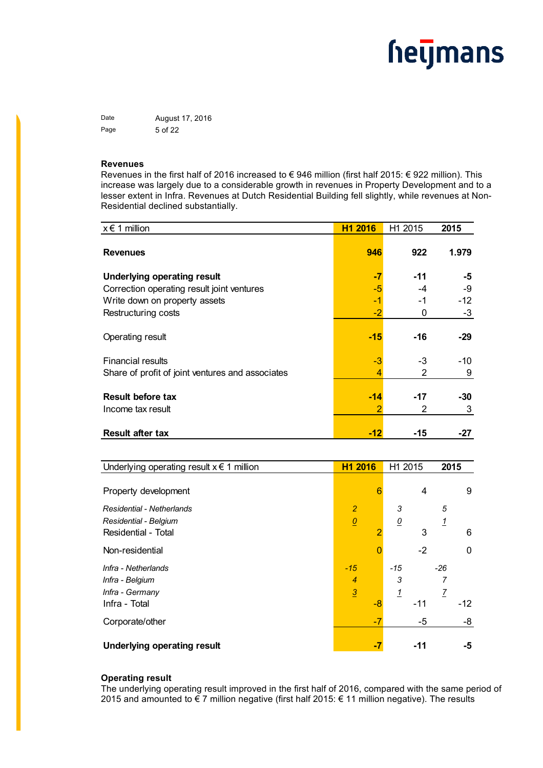Date **August 17, 2016** Page 5 of 22

#### **Revenues**

Revenues in the first half of 2016 increased to € 946 million (first half 2015: € 922 million). This increase was largely due to a considerable growth in revenues in Property Development and to a lesser extent in Infra. Revenues at Dutch Residential Building fell slightly, while revenues at Non-Residential declined substantially.

| $x \in 1$ million                                | H1 2016 | H1 2015    | 2015     |
|--------------------------------------------------|---------|------------|----------|
| <b>Revenues</b>                                  | 946     | 922        | 1.979    |
| <b>Underlying operating result</b>               | -7      | $-11$      | -5       |
| Correction operating result joint ventures       | -5      | -4         | -9       |
| Write down on property assets                    | -1      | -1         | $-12$    |
| Restructuring costs                              | $-2$    | 0          | $-3$     |
| Operating result                                 | $-15$   | $-16$      | $-29$    |
| <b>Financial results</b>                         | $-3$    | -3         | -10      |
| Share of profit of joint ventures and associates | 4       | 2          | 9        |
| <b>Result before tax</b><br>Income tax result    | $-14$   | $-17$<br>2 | -30<br>3 |
| <b>Result after tax</b>                          | $-12$   | -15        | -27      |

| Underlying operating result $x \in 1$ million | H1 2016        |    | H1 2015         |       | 2015           |       |
|-----------------------------------------------|----------------|----|-----------------|-------|----------------|-------|
|                                               |                |    |                 |       |                |       |
| Property development                          |                | 6  |                 | 4     |                | 9     |
| Residential - Netherlands                     | $\overline{2}$ |    | 3               |       | 5              |       |
| Residential - Belgium                         | $\overline{0}$ |    | $\underline{0}$ |       | 1              |       |
| Residential - Total                           |                |    |                 | 3     |                | 6     |
| Non-residential                               |                |    |                 | $-2$  |                | 0     |
| Infra - Netherlands                           | $-15$          |    | -15             |       | $-26$          |       |
| Infra - Belgium                               | $\overline{4}$ |    | 3               |       |                |       |
| Infra - Germany                               | $\overline{3}$ |    | <u>1</u>        |       | $\overline{I}$ |       |
| Infra - Total                                 |                | -8 |                 | $-11$ |                | $-12$ |
| Corporate/other                               |                | -7 |                 | -5    |                | -8    |
| <b>Underlying operating result</b>            |                | -7 |                 | $-11$ |                | -5    |

#### **Operating result**

The underlying operating result improved in the first half of 2016, compared with the same period of 2015 and amounted to € 7 million negative (first half 2015: € 11 million negative). The results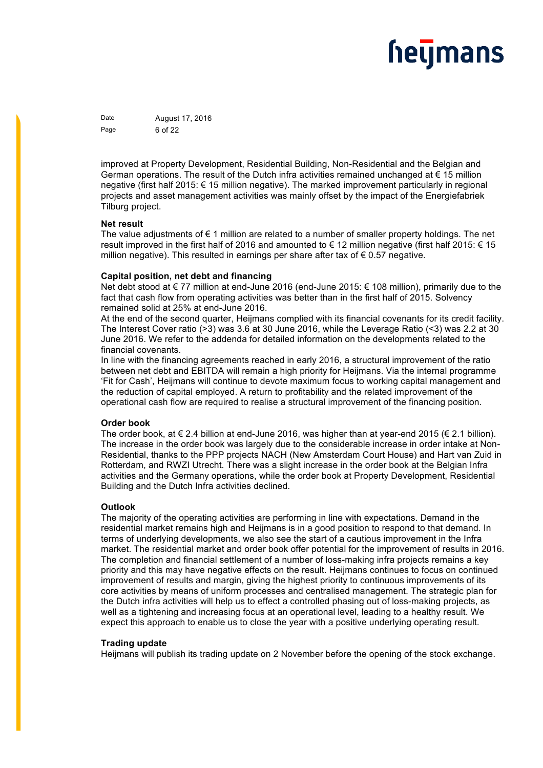Date **August 17, 2016** Page 6 of 22

improved at Property Development, Residential Building, Non-Residential and the Belgian and German operations. The result of the Dutch infra activities remained unchanged at  $\epsilon$  15 million negative (first half 2015: € 15 million negative). The marked improvement particularly in regional projects and asset management activities was mainly offset by the impact of the Energiefabriek Tilburg project.

#### **Net result**

The value adjustments of  $\epsilon$  1 million are related to a number of smaller property holdings. The net result improved in the first half of 2016 and amounted to € 12 million negative (first half 2015: € 15 million negative). This resulted in earnings per share after tax of  $\epsilon$  0.57 negative.

#### **Capital position, net debt and financing**

Net debt stood at € 77 million at end-June 2016 (end-June 2015: € 108 million), primarily due to the fact that cash flow from operating activities was better than in the first half of 2015. Solvency remained solid at 25% at end-June 2016.

At the end of the second quarter, Heijmans complied with its financial covenants for its credit facility. The Interest Cover ratio (>3) was 3.6 at 30 June 2016, while the Leverage Ratio (<3) was 2.2 at 30 June 2016. We refer to the addenda for detailed information on the developments related to the financial covenants.

In line with the financing agreements reached in early 2016, a structural improvement of the ratio between net debt and EBITDA will remain a high priority for Heijmans. Via the internal programme 'Fit for Cash', Heijmans will continue to devote maximum focus to working capital management and the reduction of capital employed. A return to profitability and the related improvement of the operational cash flow are required to realise a structural improvement of the financing position.

#### **Order book**

The order book, at  $\epsilon$  2.4 billion at end-June 2016, was higher than at year-end 2015 ( $\epsilon$  2.1 billion). The increase in the order book was largely due to the considerable increase in order intake at Non-Residential, thanks to the PPP projects NACH (New Amsterdam Court House) and Hart van Zuid in Rotterdam, and RWZI Utrecht. There was a slight increase in the order book at the Belgian Infra activities and the Germany operations, while the order book at Property Development, Residential Building and the Dutch Infra activities declined.

#### **Outlook**

The majority of the operating activities are performing in line with expectations. Demand in the residential market remains high and Heijmans is in a good position to respond to that demand. In terms of underlying developments, we also see the start of a cautious improvement in the Infra market. The residential market and order book offer potential for the improvement of results in 2016. The completion and financial settlement of a number of loss-making infra projects remains a key priority and this may have negative effects on the result. Heijmans continues to focus on continued improvement of results and margin, giving the highest priority to continuous improvements of its core activities by means of uniform processes and centralised management. The strategic plan for the Dutch infra activities will help us to effect a controlled phasing out of loss-making projects, as well as a tightening and increasing focus at an operational level, leading to a healthy result. We expect this approach to enable us to close the year with a positive underlying operating result.

#### **Trading update**

Heijmans will publish its trading update on 2 November before the opening of the stock exchange.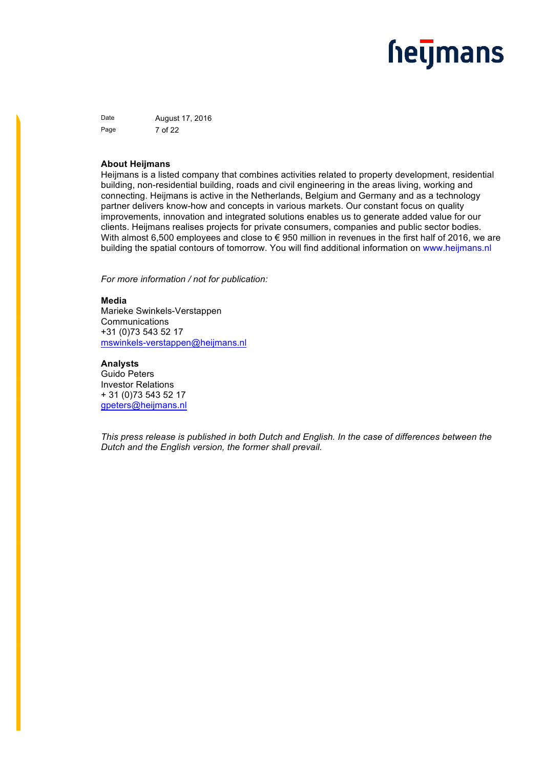Date **August 17, 2016** Page 7 of 22

#### **About Heijmans**

Heijmans is a listed company that combines activities related to property development, residential building, non-residential building, roads and civil engineering in the areas living, working and connecting. Heijmans is active in the Netherlands, Belgium and Germany and as a technology partner delivers know-how and concepts in various markets. Our constant focus on quality improvements, innovation and integrated solutions enables us to generate added value for our clients. Heijmans realises projects for private consumers, companies and public sector bodies. With almost 6,500 employees and close to  $\epsilon$  950 million in revenues in the first half of 2016, we are building the spatial contours of tomorrow. You will find additional information on www.heijmans.nl

*For more information / not for publication:* 

#### **Media**

Marieke Swinkels-Verstappen Communications +31 (0)73 543 52 17 mswinkels-verstappen@heijmans.nl

#### **Analysts**

Guido Peters Investor Relations + 31 (0)73 543 52 17 gpeters@heijmans.nl

*This press release is published in both Dutch and English. In the case of differences between the Dutch and the English version, the former shall prevail.*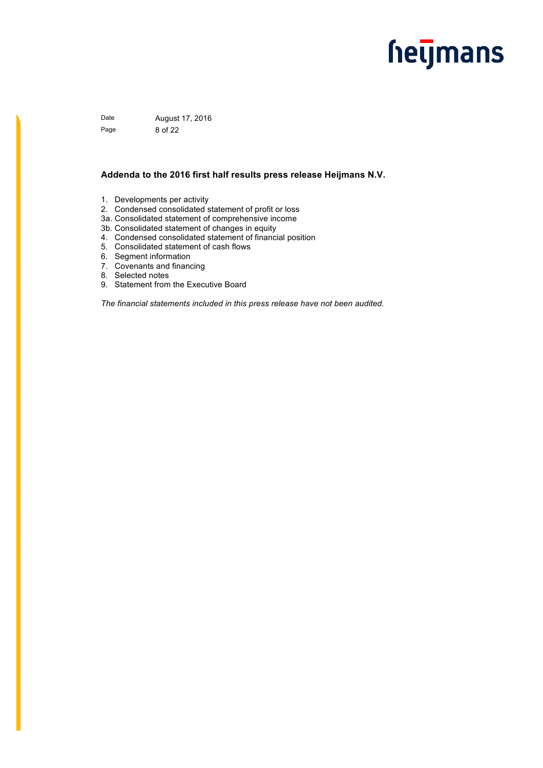Date **August 17, 2016** Page 8 of 22

#### **Addenda to the 2016 first half results press release Heijmans N.V.**

- 1. Developments per activity
- 2. Condensed consolidated statement of profit or loss
- 3a. Consolidated statement of comprehensive income
- 3b. Consolidated statement of changes in equity
- 4. Condensed consolidated statement of financial position
- 5. Consolidated statement of cash flows
- 6. Segment information
- 7. Covenants and financing
- 8. Selected notes
- 9. Statement from the Executive Board

*The financial statements included in this press release have not been audited.*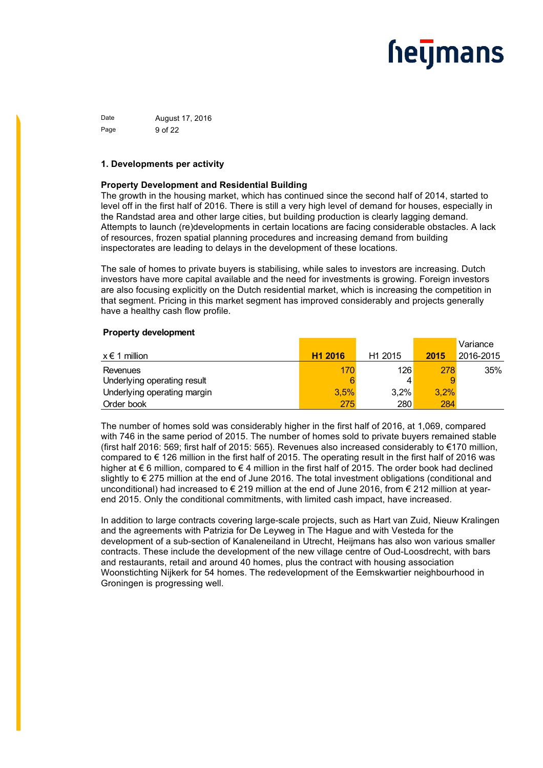Date **August 17, 2016** Page 9 of 22

#### **1. Developments per activity**

#### **Property Development and Residential Building**

The growth in the housing market, which has continued since the second half of 2014, started to level off in the first half of 2016. There is still a very high level of demand for houses, especially in the Randstad area and other large cities, but building production is clearly lagging demand. Attempts to launch (re)developments in certain locations are facing considerable obstacles. A lack of resources, frozen spatial planning procedures and increasing demand from building inspectorates are leading to delays in the development of these locations.

The sale of homes to private buyers is stabilising, while sales to investors are increasing. Dutch investors have more capital available and the need for investments is growing. Foreign investors are also focusing explicitly on the Dutch residential market, which is increasing the competition in that segment. Pricing in this market segment has improved considerably and projects generally have a healthy cash flow profile.

#### **Property development**

|                             |                     |                     |      | Variance  |
|-----------------------------|---------------------|---------------------|------|-----------|
| $x \in 1$ million           | H <sub>1</sub> 2016 | H <sub>1</sub> 2015 | 2015 | 2016-2015 |
| Revenues                    | 170                 | 126                 | 278  | 35%       |
| Underlying operating result | 6                   |                     |      |           |
| Underlying operating margin | 3.5%                | $3.2\%$             | 3.2% |           |
| Order book                  | 275                 | 280                 | 284  |           |

The number of homes sold was considerably higher in the first half of 2016, at 1,069, compared with 746 in the same period of 2015. The number of homes sold to private buyers remained stable (first half 2016: 569; first half of 2015: 565). Revenues also increased considerably to €170 million, compared to  $\epsilon$  126 million in the first half of 2015. The operating result in the first half of 2016 was higher at  $\epsilon$  6 million, compared to  $\epsilon$  4 million in the first half of 2015. The order book had declined slightly to € 275 million at the end of June 2016. The total investment obligations (conditional and unconditional) had increased to  $\epsilon$  219 million at the end of June 2016, from  $\epsilon$  212 million at yearend 2015. Only the conditional commitments, with limited cash impact, have increased.

In addition to large contracts covering large-scale projects, such as Hart van Zuid, Nieuw Kralingen and the agreements with Patrizia for De Leyweg in The Hague and with Vesteda for the development of a sub-section of Kanaleneiland in Utrecht, Heijmans has also won various smaller contracts. These include the development of the new village centre of Oud-Loosdrecht, with bars and restaurants, retail and around 40 homes, plus the contract with housing association Woonstichting Nijkerk for 54 homes. The redevelopment of the Eemskwartier neighbourhood in Groningen is progressing well.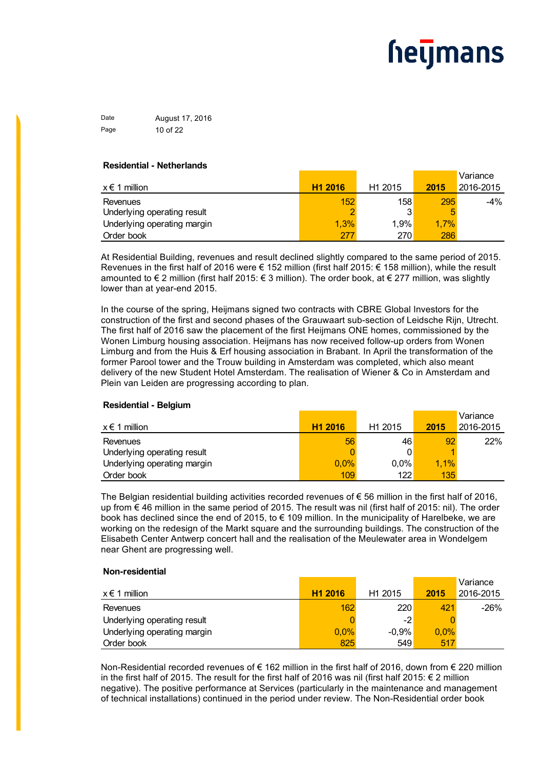Date **August 17, 2016** Page 10 of 22

#### **Residential - Netherlands**

|                             |                     |                     |      | Variance  |
|-----------------------------|---------------------|---------------------|------|-----------|
| $x \in 1$ million           | H <sub>1</sub> 2016 | H <sub>1</sub> 2015 | 2015 | 2016-2015 |
| Revenues                    | 152                 | 158                 | 295  | -4%       |
| Underlying operating result | c                   |                     |      |           |
| Underlying operating margin | 1,3%                | 1.9%                | 1,7% |           |
| Order book                  | 277                 | 270                 | 286  |           |

At Residential Building, revenues and result declined slightly compared to the same period of 2015. Revenues in the first half of 2016 were € 152 million (first half 2015: € 158 million), while the result amounted to € 2 million (first half 2015: € 3 million). The order book, at € 277 million, was slightly lower than at year-end 2015.

In the course of the spring, Heijmans signed two contracts with CBRE Global Investors for the construction of the first and second phases of the Grauwaart sub-section of Leidsche Rijn, Utrecht. The first half of 2016 saw the placement of the first Heijmans ONE homes, commissioned by the Wonen Limburg housing association. Heijmans has now received follow-up orders from Wonen Limburg and from the Huis & Erf housing association in Brabant. In April the transformation of the former Parool tower and the Trouw building in Amsterdam was completed, which also meant delivery of the new Student Hotel Amsterdam. The realisation of Wiener & Co in Amsterdam and Plein van Leiden are progressing according to plan.

#### **Residential - Belgium**

|                             |                     |                     |      | Variance  |
|-----------------------------|---------------------|---------------------|------|-----------|
| x € 1 million               | H <sub>1</sub> 2016 | H <sub>1</sub> 2015 | 2015 | 2016-2015 |
| Revenues                    | 56                  | 46                  | 92   | 22%       |
| Underlying operating result |                     |                     |      |           |
| Underlying operating margin | 0,0%                | 0,0%                | 1,1% |           |
| Order book                  | 109                 | 122                 | 135  |           |

The Belgian residential building activities recorded revenues of  $\epsilon$  56 million in the first half of 2016, up from € 46 million in the same period of 2015. The result was nil (first half of 2015: nil). The order book has declined since the end of 2015, to  $\epsilon$  109 million. In the municipality of Harelbeke, we are working on the redesign of the Markt square and the surrounding buildings. The construction of the Elisabeth Center Antwerp concert hall and the realisation of the Meulewater area in Wondelgem near Ghent are progressing well.

#### **Non-residential**

|                             |                     |                     |         | Variance  |
|-----------------------------|---------------------|---------------------|---------|-----------|
| $x \in 1$ million           | H <sub>1</sub> 2016 | H <sub>1</sub> 2015 | 2015    | 2016-2015 |
| Revenues                    | 162                 | 220                 | 421     | $-26%$    |
| Underlying operating result |                     | -2                  |         |           |
| Underlying operating margin | $0.0\%$             | $-0.9%$             | $0.0\%$ |           |
| Order book                  | 825                 | 549                 | 517     |           |

Non-Residential recorded revenues of € 162 million in the first half of 2016, down from € 220 million in the first half of 2015. The result for the first half of 2016 was nil (first half 2015: € 2 million negative). The positive performance at Services (particularly in the maintenance and management of technical installations) continued in the period under review. The Non-Residential order book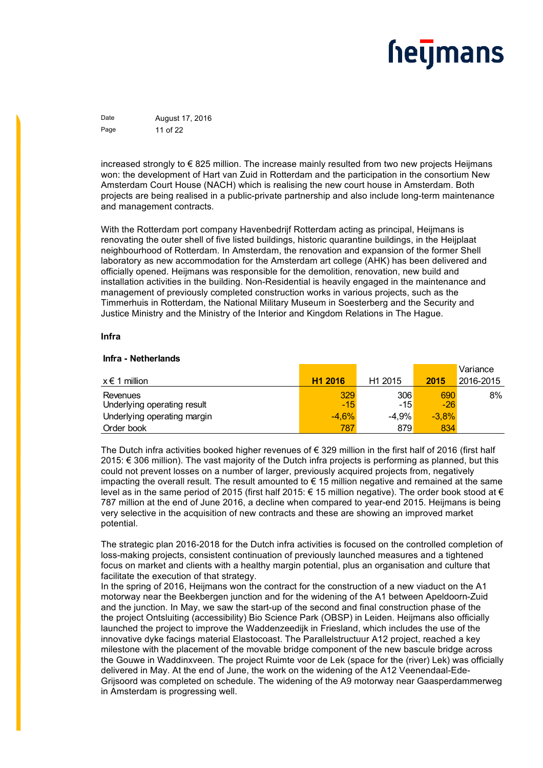Date **August 17, 2016** Page 11 of 22

increased strongly to € 825 million. The increase mainly resulted from two new projects Heijmans won: the development of Hart van Zuid in Rotterdam and the participation in the consortium New Amsterdam Court House (NACH) which is realising the new court house in Amsterdam. Both projects are being realised in a public-private partnership and also include long-term maintenance and management contracts.

With the Rotterdam port company Havenbedrijf Rotterdam acting as principal, Heijmans is renovating the outer shell of five listed buildings, historic quarantine buildings, in the Heijplaat neighbourhood of Rotterdam. In Amsterdam, the renovation and expansion of the former Shell laboratory as new accommodation for the Amsterdam art college (AHK) has been delivered and officially opened. Heijmans was responsible for the demolition, renovation, new build and installation activities in the building. Non-Residential is heavily engaged in the maintenance and management of previously completed construction works in various projects, such as the Timmerhuis in Rotterdam, the National Military Museum in Soesterberg and the Security and Justice Ministry and the Ministry of the Interior and Kingdom Relations in The Hague.

#### **Infra**

#### **Infra - Netherlands**

|                                         |                     |                                                             |              | Variance  |
|-----------------------------------------|---------------------|-------------------------------------------------------------|--------------|-----------|
| $x \in 1$ million                       | H <sub>1</sub> 2016 | H <sub>1</sub> 2015                                         | 2015         | 2016-2015 |
| Revenues<br>Underlying operating result | 329<br>$-15$        | 306<br>$-15$ <sup><math>\overline{\phantom{a}}</math></sup> | 690<br>$-26$ | 8%        |
| Underlying operating margin             | $-4.6%$             | $-4.9\%$                                                    | $-3.8%$      |           |
| Order book                              | 787                 | 879                                                         | 834          |           |

The Dutch infra activities booked higher revenues of  $\epsilon$  329 million in the first half of 2016 (first half 2015: € 306 million). The vast majority of the Dutch infra projects is performing as planned, but this could not prevent losses on a number of larger, previously acquired projects from, negatively impacting the overall result. The result amounted to  $\epsilon$  15 million negative and remained at the same level as in the same period of 2015 (first half 2015: € 15 million negative). The order book stood at € 787 million at the end of June 2016, a decline when compared to year-end 2015. Heijmans is being very selective in the acquisition of new contracts and these are showing an improved market potential.

The strategic plan 2016-2018 for the Dutch infra activities is focused on the controlled completion of loss-making projects, consistent continuation of previously launched measures and a tightened focus on market and clients with a healthy margin potential, plus an organisation and culture that facilitate the execution of that strategy.

In the spring of 2016, Heijmans won the contract for the construction of a new viaduct on the A1 motorway near the Beekbergen junction and for the widening of the A1 between Apeldoorn-Zuid and the junction. In May, we saw the start-up of the second and final construction phase of the the project Ontsluiting (accessibility) Bio Science Park (OBSP) in Leiden. Heijmans also officially launched the project to improve the Waddenzeedijk in Friesland, which includes the use of the innovative dyke facings material Elastocoast. The Parallelstructuur A12 project, reached a key milestone with the placement of the movable bridge component of the new bascule bridge across the Gouwe in Waddinxveen. The project Ruimte voor de Lek (space for the (river) Lek) was officially delivered in May. At the end of June, the work on the widening of the A12 Veenendaal-Ede-Grijsoord was completed on schedule. The widening of the A9 motorway near Gaasperdammerweg in Amsterdam is progressing well.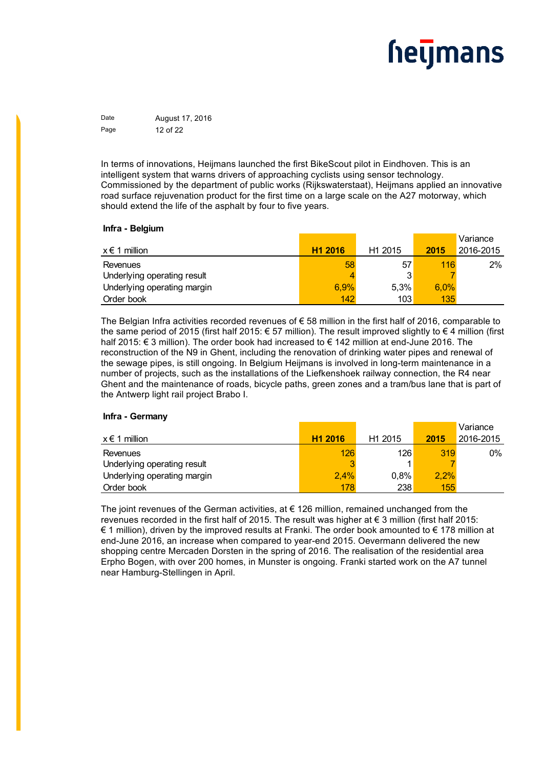Date **August 17, 2016** Page 12 of 22

In terms of innovations, Heijmans launched the first BikeScout pilot in Eindhoven. This is an intelligent system that warns drivers of approaching cyclists using sensor technology. Commissioned by the department of public works (Rijkswaterstaat), Heijmans applied an innovative road surface rejuvenation product for the first time on a large scale on the A27 motorway, which should extend the life of the asphalt by four to five years.

#### **Infra - Belgium**

|                             |                     |                     |      | Variance  |
|-----------------------------|---------------------|---------------------|------|-----------|
| $x \in 1$ million           | H <sub>1</sub> 2016 | H <sub>1</sub> 2015 | 2015 | 2016-2015 |
| Revenues                    | 58                  | 57                  | 116  | 2%        |
| Underlying operating result | 4                   |                     |      |           |
| Underlying operating margin | 6.9%                | 5.3%                | 6.0% |           |
| Order book                  | 142                 | 103                 | 135  |           |

The Belgian Infra activities recorded revenues of € 58 million in the first half of 2016, comparable to the same period of 2015 (first half 2015: € 57 million). The result improved slightly to € 4 million (first half 2015: € 3 million). The order book had increased to € 142 million at end-June 2016. The reconstruction of the N9 in Ghent, including the renovation of drinking water pipes and renewal of the sewage pipes, is still ongoing. In Belgium Heijmans is involved in long-term maintenance in a number of projects, such as the installations of the Liefkenshoek railway connection, the R4 near Ghent and the maintenance of roads, bicycle paths, green zones and a tram/bus lane that is part of the Antwerp light rail project Brabo I.

#### **Infra - Germany**

|                             |                     |                     |      | Variance  |
|-----------------------------|---------------------|---------------------|------|-----------|
| $x \in 1$ million           | H <sub>1</sub> 2016 | H <sub>1</sub> 2015 | 2015 | 2016-2015 |
| Revenues                    | 126                 | 126                 | 319  | $0\%$     |
| Underlying operating result | 3                   |                     |      |           |
| Underlying operating margin | 2,4%                | $0.8\%$             | 2.2% |           |
| Order book                  | 178                 | 238                 | 155  |           |

The joint revenues of the German activities, at  $\epsilon$  126 million, remained unchanged from the revenues recorded in the first half of 2015. The result was higher at  $\epsilon$  3 million (first half 2015: € 1 million), driven by the improved results at Franki. The order book amounted to € 178 million at end-June 2016, an increase when compared to year-end 2015. Oevermann delivered the new shopping centre Mercaden Dorsten in the spring of 2016. The realisation of the residential area Erpho Bogen, with over 200 homes, in Munster is ongoing. Franki started work on the A7 tunnel near Hamburg-Stellingen in April.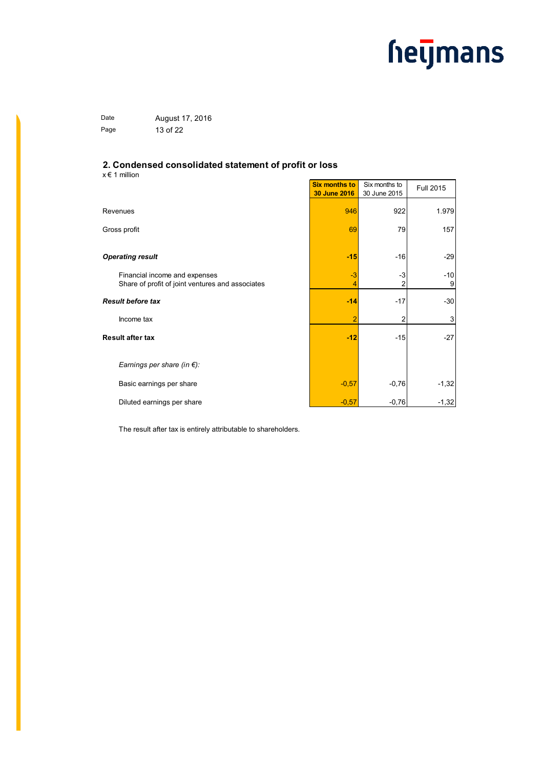Date **August 17, 2016** Page 13 of 22

#### **2. Condensed consolidated statement of profit or loss**

x € 1 million

|                                                                                   | <b>Six months to</b><br>30 June 2016 | Six months to<br>30 June 2015 | Full 2015  |
|-----------------------------------------------------------------------------------|--------------------------------------|-------------------------------|------------|
| Revenues                                                                          | 946                                  | 922                           | 1.979      |
| Gross profit                                                                      | 69                                   | 79                            | 157        |
| <b>Operating result</b>                                                           | $-15$                                | $-16$                         | $-29$      |
| Financial income and expenses<br>Share of profit of joint ventures and associates | $-3$<br>4                            | -3                            | $-10$<br>9 |
| Result before tax                                                                 | $-14$                                | $-17$                         | $-30$      |
| Income tax                                                                        | $\overline{2}$                       |                               | 3          |
| Result after tax                                                                  | $-12$                                | $-15$                         | $-27$      |
| Earnings per share (in $\xi$ ):                                                   |                                      |                               |            |
| Basic earnings per share                                                          | $-0,57$                              | $-0,76$                       | $-1,32$    |
| Diluted earnings per share                                                        | $-0.57$                              | $-0,76$                       | $-1,32$    |

The result after tax is entirely attributable to shareholders.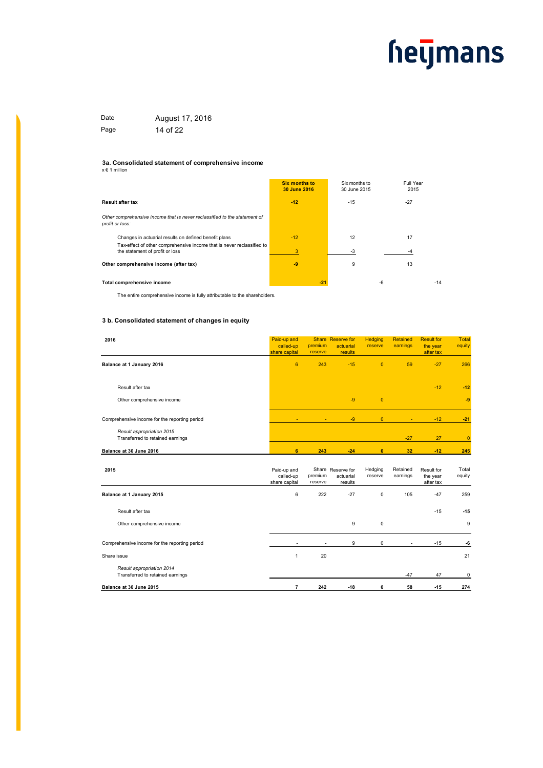Date **August 17, 2016** Page 14 of 22

### **3a. Consolidated statement of comprehensive income** x € 1 million

|                                                                                                           | <b>Six months to</b><br>30 June 2016 | Six months to<br>30 June 2015 | Full Year<br>2015 |       |
|-----------------------------------------------------------------------------------------------------------|--------------------------------------|-------------------------------|-------------------|-------|
| Result after tax                                                                                          | $-12$                                | $-15$                         | $-27$             |       |
| Other comprehensive income that is never reclassified to the statement of<br>profit or loss:              |                                      |                               |                   |       |
| Changes in actuarial results on defined benefit plans                                                     | $-12$                                | 12                            | 17                |       |
| Tax-effect of other comprehensive income that is never reclassified to<br>the statement of profit or loss | 3                                    | $-3$                          |                   |       |
| Other comprehensive income (after tax)                                                                    | $-9$                                 | 9                             | 13                |       |
| Total comprehensive income                                                                                | $-21$                                |                               | $-6$              | $-14$ |

The entire comprehensive income is fully attributable to the shareholders.

#### **3 b. Consolidated statement of changes in equity**

| 2016                                                          | Paid-up and<br>called-up<br>share capital | premium<br>reserve | Share Reserve for<br>actuarial<br>results | <b>Hedging</b><br>reserve | <b>Retained</b><br>earnings | <b>Result for</b><br>the year<br>after tax | <b>Total</b><br>equity |
|---------------------------------------------------------------|-------------------------------------------|--------------------|-------------------------------------------|---------------------------|-----------------------------|--------------------------------------------|------------------------|
| Balance at 1 January 2016                                     | 6                                         | 243                | $-15$                                     | $\overline{0}$            | 59                          | $-27$                                      | 266                    |
| Result after tax                                              |                                           |                    |                                           |                           |                             | $-12$                                      | $-12$                  |
| Other comprehensive income                                    |                                           |                    | $-9$                                      | $\overline{0}$            |                             |                                            | $-9$                   |
| Comprehensive income for the reporting period                 | $\sim$                                    | $\sim$             | $-9$                                      | $\overline{0}$            | $\sim$                      | $-12$                                      | $-21$                  |
| Result appropriation 2015<br>Transferred to retained earnings |                                           |                    |                                           |                           | $-27$                       | 27                                         | $\mathbf{0}$           |
| Balance at 30 June 2016                                       | 6                                         | 243                | $-24$                                     | $\bf{0}$                  | 32                          | $-12$                                      | 245                    |

| 2015                                                          | Paid-up and<br>called-up<br>share capital | premium<br>reserve | Share Reserve for<br>actuarial<br>results | Hedging<br>reserve | Retained<br>earnings | Result for<br>the year<br>after tax | Total<br>equity |
|---------------------------------------------------------------|-------------------------------------------|--------------------|-------------------------------------------|--------------------|----------------------|-------------------------------------|-----------------|
| Balance at 1 January 2015                                     | 6                                         | 222                | $-27$                                     | 0                  | 105                  | $-47$                               | 259             |
| Result after tax                                              |                                           |                    |                                           |                    |                      | $-15$                               | $-15$           |
| Other comprehensive income                                    |                                           |                    | 9                                         | 0                  |                      |                                     | 9               |
| Comprehensive income for the reporting period                 | $\overline{\phantom{a}}$                  | ٠                  | 9                                         | 0                  | $\sim$               | $-15$                               | -6              |
| Share issue                                                   |                                           | 20                 |                                           |                    |                      |                                     | 21              |
| Result appropriation 2014<br>Transferred to retained earnings |                                           |                    |                                           |                    | $-47$                | 47                                  | 0               |
| Balance at 30 June 2015                                       |                                           | 242                | $-18$                                     | 0                  | 58                   | $-15$                               | 274             |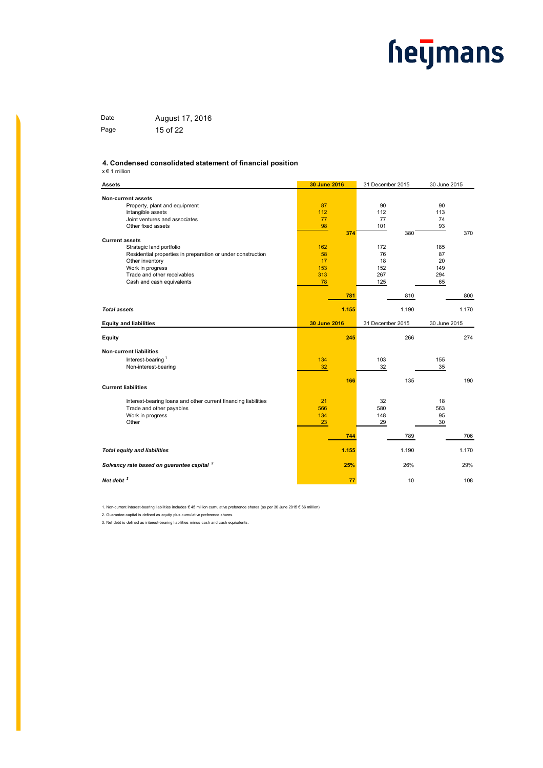Date **August 17, 2016** Page 15 of 22

#### **4. Condensed consolidated statement of financial position**

 $x \in 1$  million

| <b>Assets</b>                                                  | 30 June 2016 | 31 December 2015 | 30 June 2015 |
|----------------------------------------------------------------|--------------|------------------|--------------|
| Non-current assets                                             |              |                  |              |
| Property, plant and equipment                                  | 87           | 90               | 90           |
| Intangible assets                                              | 112          | 112              | 113          |
| Joint ventures and associates                                  | 77           | 77               | 74           |
| Other fixed assets                                             | 98           | 101              | 93           |
|                                                                | 374          | 380              | 370          |
| <b>Current assets</b>                                          |              |                  |              |
| Strategic land portfolio                                       | 162          | 172              | 185          |
| Residential properties in preparation or under construction    | 58           | 76               | 87           |
| Other inventory                                                | 17           | 18               | 20           |
| Work in progress                                               | 153          | 152              | 149          |
| Trade and other receivables                                    | 313          | 267              | 294          |
| Cash and cash equivalents                                      | 78           | 125              | 65           |
|                                                                | 781          | 810              | 800          |
|                                                                |              |                  |              |
| <b>Total assets</b>                                            | 1.155        | 1.190            | 1.170        |
| <b>Equity and liabilities</b>                                  | 30 June 2016 | 31 December 2015 | 30 June 2015 |
|                                                                |              |                  |              |
| Equity                                                         | 245          | 266              | 274          |
| <b>Non-current liabilities</b>                                 |              |                  |              |
| Interest-bearing <sup>1</sup>                                  | 134          | 103              | 155          |
| Non-interest-bearing                                           | 32           | 32               | 35           |
|                                                                |              |                  |              |
|                                                                | 166          | 135              | 190          |
| <b>Current liabilities</b>                                     |              |                  |              |
| Interest-bearing loans and other current financing liabilities | 21           | 32               | 18           |
| Trade and other payables                                       | 566          | 580              | 563          |
| Work in progress                                               | 134          | 148              | 95           |
| Other                                                          | 23           | 29               | 30           |
|                                                                |              |                  |              |
|                                                                | 744          | 789              | 706          |
| <b>Total equity and liabilities</b>                            | 1.155        | 1.190            | 1.170        |
|                                                                |              |                  |              |
| Solvancy rate based on guarantee capital <sup>2</sup>          | 25%          | 26%              | 29%          |
| Net debt <sup>3</sup>                                          | 77           | 10               | 108          |

1. Non-current interest-bearing liabilities includes € 45 million cumulative preference shares (as per 30 June 2015 € 66 million).

2. Guarantee capital is defined as equity plus cumulative preference shares.

3. Net debt is defined as interest-bearing liabilities minus cash and cash equivalents.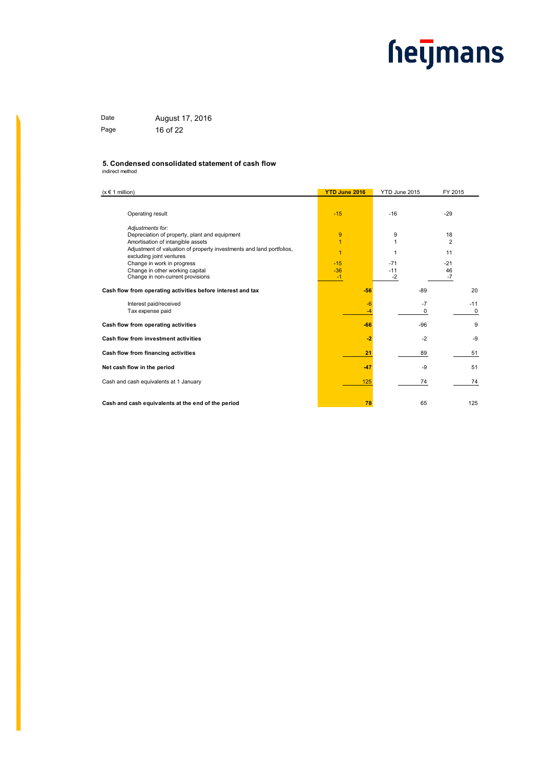Date **August 17, 2016** Page 16 of 22

#### **5. Condensed consolidated statement of cash flow**

indirect method

| $(x \in 1$ million)                                                                              | <b>YTD June 2016</b> | YTD June 2015 | FY 2015     |
|--------------------------------------------------------------------------------------------------|----------------------|---------------|-------------|
| Operating result<br>Adjustments for:                                                             | $-15$                | $-16$         | $-29$       |
| Depreciation of property, plant and equipment                                                    | 9                    | 9             | 18          |
| Amortisation of intangible assets                                                                | $\overline{1}$       |               | 2           |
| Adjustment of valuation of property investments and land portfolios,<br>excluding joint ventures | 1                    | 1             | 11          |
| Change in work in progress                                                                       | $-15$                | $-71$         | $-21$       |
| Change in other working capital                                                                  | $-36$                | $-11$         | 46          |
| Change in non-current provisions                                                                 | $-1$                 | $-2$          | $-7$        |
| Cash flow from operating activities before interest and tax                                      | $-56$                | $-89$         | 20          |
| Interest paid/received                                                                           | $-6$                 | $-7$          | $-11$       |
| Tax expense paid                                                                                 | -4                   | 0             | $\mathbf 0$ |
| Cash flow from operating activities                                                              | $-66$                | $-96$         | 9           |
| Cash flow from investment activities                                                             | $-2$                 | $-2$          | -9          |
| Cash flow from financing activities                                                              | 21                   | 89            | 51          |
| Net cash flow in the period                                                                      | $-47$                | -9            | 51          |
| Cash and cash equivalents at 1 January                                                           | 125                  | 74            | 74          |
| Cash and cash equivalents at the end of the period                                               | 78                   | 65            | 125         |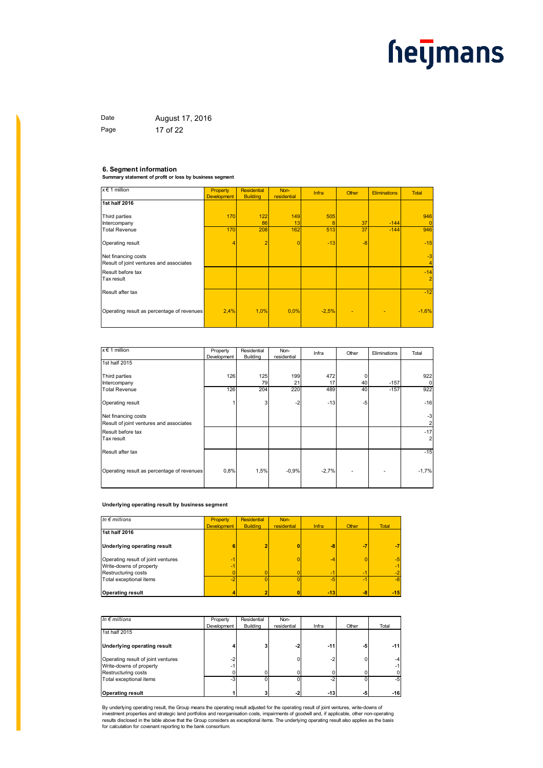Date **August 17, 2016** Page 17 of 22

**6. Segment information Summary statement of profit or loss by business segment**

| $x \in 1$ million                                              | Property<br><b>Development</b> | <b>Residential</b><br><b>Building</b> | Non-<br>residential | <b>Infra</b> | Other | <b>Eliminations</b> | <b>Total</b>            |
|----------------------------------------------------------------|--------------------------------|---------------------------------------|---------------------|--------------|-------|---------------------|-------------------------|
| 1st half 2016                                                  |                                |                                       |                     |              |       |                     |                         |
| Third parties                                                  | 170                            | 122                                   | 149                 | 505          |       |                     | 946                     |
| Intercompany                                                   |                                | 86                                    | 13                  | 8            | 37    | $-144$              | $\mathbf{0}$            |
| <b>Total Revenue</b>                                           | 170                            | 208                                   | 162                 | 513          | 37    | $-144$              | 946                     |
| Operating result                                               |                                | $\overline{2}$                        | $\overline{0}$      | $-13$        | $-8$  |                     | $-15$                   |
| Net financing costs<br>Result of joint ventures and associates |                                |                                       |                     |              |       |                     | $-3$<br>4               |
| Result before tax<br>Tax result                                |                                |                                       |                     |              |       |                     | $-14$<br>$\overline{2}$ |
| Result after tax                                               |                                |                                       |                     |              |       |                     | $-12$                   |
| Operating result as percentage of revenues                     | 2,4%                           | 1,0%                                  | 0.0%                | $-2,5%$      | ٠     |                     | $-1,6%$                 |

| $x \in 1$ million                                              | Property    | Residential | Non-        | Infra   | Other | Eliminations | Total                   |
|----------------------------------------------------------------|-------------|-------------|-------------|---------|-------|--------------|-------------------------|
|                                                                | Development | Building    | residential |         |       |              |                         |
| 1st half 2015                                                  |             |             |             |         |       |              |                         |
| Third parties                                                  | 126         | 125         | 199         | 472     | 0     |              | 922                     |
| Intercompany                                                   |             | 79          | 21          | 17      | 40    | $-157$       | 0                       |
| <b>Total Revenue</b>                                           | 126         | 204         | 220         | 489     | 40    | $-157$       | 922                     |
| Operating result                                               |             | 3           | $-2$        | $-13$   | $-5$  |              | $-16$                   |
| Net financing costs<br>Result of joint ventures and associates |             |             |             |         |       |              | $-3$<br>2               |
| Result before tax<br>Tax result                                |             |             |             |         |       |              | $-17$<br>$\overline{2}$ |
| Result after tax                                               |             |             |             |         |       |              | $-15$                   |
| Operating result as percentage of revenues                     | 0,8%        | 1,5%        | $-0.9%$     | $-2.7%$ | ٠     |              | $-1,7%$                 |

#### **Underlying operating result by business segment**

| In $\epsilon$ millions             | Property           | <b>Residential</b> | Non-        |       |       |              |
|------------------------------------|--------------------|--------------------|-------------|-------|-------|--------------|
|                                    | <b>Development</b> | <b>Building</b>    | residential | Infra | Other | <b>Total</b> |
| 1st half 2016                      |                    |                    |             |       |       |              |
| <b>Underlying operating result</b> | 6                  |                    |             | -8    | -7    |              |
| Operating result of joint ventures | 47                 |                    |             | -4    |       | $-5$         |
| Write-downs of property            | 41                 |                    |             |       |       | $-1$         |
| Restructuring costs                |                    |                    |             | ÷     | æ     |              |
| Total exceptional items            | $-2$               |                    |             | $-5$  | $-1$  | $-8$         |
| <b>Operating result</b>            |                    |                    |             | $-13$ | $-8$  | $-15$        |

| In $\epsilon$ millions             | Property<br>Development | Residential<br>Building | Non-<br>residential | Infra | Other | Total |
|------------------------------------|-------------------------|-------------------------|---------------------|-------|-------|-------|
| 1st half 2015                      |                         |                         |                     |       |       |       |
| Underlying operating result        |                         |                         | -2                  | $-11$ | -5    | $-11$ |
| Operating result of joint ventures | $-2$                    |                         |                     | $-2$  | 0     | $-4$  |
| Write-downs of property            | ۰                       |                         |                     |       |       | $-1$  |
| Restructuring costs                |                         |                         |                     |       |       | 0     |
| Total exceptional items            | $-3$                    |                         |                     | $-2$  |       | $-5$  |
| <b>Operating result</b>            |                         |                         |                     | $-13$ | -51   | $-16$ |

By underlying operating result, the Group means the operating result adjusted for the operating result of joint ventures, write-downs of<br>investment properties and strategic land portfolios and reorganisation costs, impairm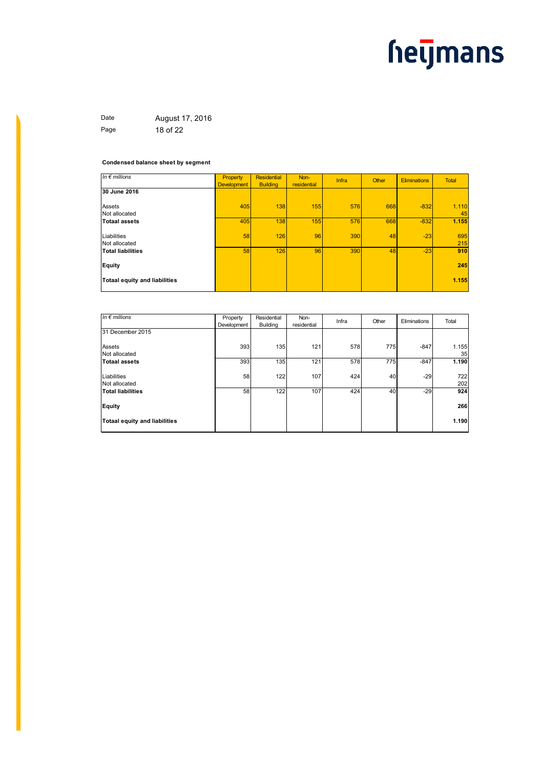Date **August 17, 2016** Page 18 of 22

#### **Condensed balance sheet by segment**

| Property<br><b>Development</b> | Residential<br><b>Building</b> | Non-<br>residential | Infra | Other | Eliminations | <b>Total</b> |
|--------------------------------|--------------------------------|---------------------|-------|-------|--------------|--------------|
|                                |                                |                     |       |       |              |              |
| 405                            | 138                            | 155                 | 576   | 668   | $-832$       | 1.110        |
|                                |                                |                     |       |       |              | 45           |
| 405                            | 138                            | 155                 | 576   |       | $-832$       | 1.155        |
| 58                             | 126                            | 96                  | 390   | 48    | $-23$        | 695          |
|                                |                                |                     |       |       |              | 215          |
| 58                             | 126                            | 96                  | 390   |       | $-23$        | 910          |
|                                |                                |                     |       |       |              | 245          |
|                                |                                |                     |       |       |              | 1.155        |
|                                |                                |                     |       |       |              | 668<br>48    |

| In $\epsilon$ millions               | Property<br>Development | Residential<br><b>Building</b> | Non-<br>residential | Infra | Other | Eliminations | Total       |
|--------------------------------------|-------------------------|--------------------------------|---------------------|-------|-------|--------------|-------------|
| 31 December 2015                     |                         |                                |                     |       |       |              |             |
| Assets<br>Not allocated              | 393                     | 135                            | 121                 | 578   | 775   | $-847$       | 1.155<br>35 |
| <b>Totaal assets</b>                 | 393                     | 135                            | 121                 | 578   | 775   | $-847$       | 1.190       |
| Liabilities<br>Not allocated         | 58                      | 122                            | 107                 | 424   | 40    | $-29$        | 722<br>202  |
| <b>Total liabilities</b>             | 58                      | 122                            | 107                 | 424   | 40    | $-29$        | 924         |
| Equity                               |                         |                                |                     |       |       |              | 266         |
| <b>Totaal equity and liabilities</b> |                         |                                |                     |       |       |              | 1.190       |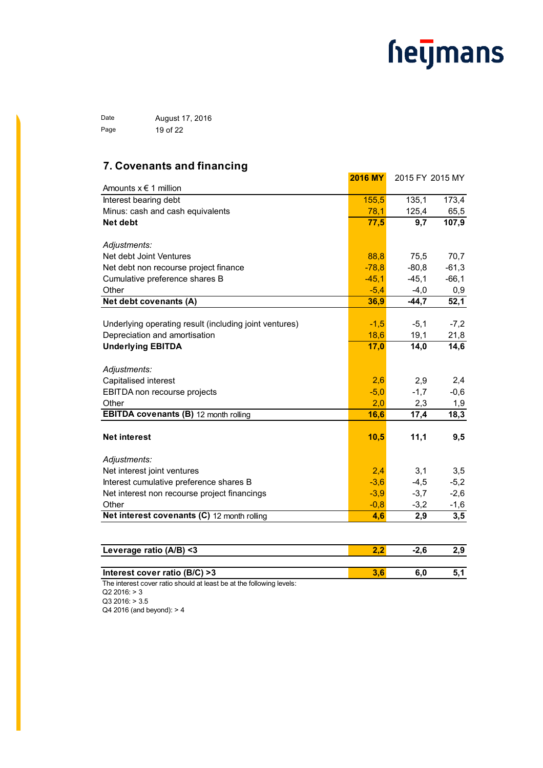Date **August 17, 2016** Page 19 of 22

### **7. Covenants and financing**

| Amounts $x \in 1$ million                              | <b>2016 MY</b> |         | 2015 FY 2015 MY |
|--------------------------------------------------------|----------------|---------|-----------------|
|                                                        |                |         |                 |
| Interest bearing debt                                  | 155,5          | 135,1   | 173,4           |
| Minus: cash and cash equivalents                       | 78,1           | 125,4   | 65,5            |
| Net debt                                               | 77,5           | 9,7     | 107,9           |
| Adjustments:                                           |                |         |                 |
| Net debt Joint Ventures                                | 88,8           | 75,5    | 70,7            |
| Net debt non recourse project finance                  | $-78,8$        | $-80,8$ | $-61,3$         |
| Cumulative preference shares B                         | $-45,1$        | $-45,1$ | $-66,1$         |
| Other                                                  | $-5,4$         | $-4,0$  | 0,9             |
| Net debt covenants (A)                                 | 36,9           | $-44,7$ | 52,1            |
|                                                        |                |         |                 |
| Underlying operating result (including joint ventures) | $-1,5$         | $-5,1$  | $-7,2$          |
| Depreciation and amortisation                          | 18,6           | 19,1    | 21,8            |
| <b>Underlying EBITDA</b>                               | 17,0           | 14,0    | 14,6            |
|                                                        |                |         |                 |
| Adjustments:                                           |                |         |                 |
| Capitalised interest                                   | 2,6            | 2,9     | 2,4             |
| EBITDA non recourse projects                           | $-5,0$         | $-1,7$  | $-0,6$          |
| Other                                                  | 2,0            | 2,3     | 1,9             |
| <b>EBITDA covenants (B)</b> 12 month rolling           | 16,6           | 17,4    | 18,3            |
| <b>Net interest</b>                                    | 10,5           | 11,1    | 9,5             |
|                                                        |                |         |                 |
| Adjustments:                                           |                |         |                 |
| Net interest joint ventures                            | 2,4            | 3,1     | 3,5             |
| Interest cumulative preference shares B                | $-3,6$         | $-4,5$  | $-5,2$          |
| Net interest non recourse project financings           | $-3,9$         | $-3,7$  | $-2,6$          |
| Other                                                  | $-0,8$         | $-3,2$  | $-1,6$          |
| Net interest covenants (C) 12 month rolling            | 4,6            | 2,9     | 3,5             |
|                                                        |                |         |                 |

| Leverage ratio (A/B) <3                                                |  | 2.J |
|------------------------------------------------------------------------|--|-----|
|                                                                        |  |     |
| Interest cover ratio (B/C) >3                                          |  |     |
| . The interest cover rotic chaude of legating at the following loveler |  |     |

The interest cover ratio should at least be at the following levels:  $Q2 2016: > 3$ 

Q3 2016: > 3.5 Q4 2016 (and beyond): > 4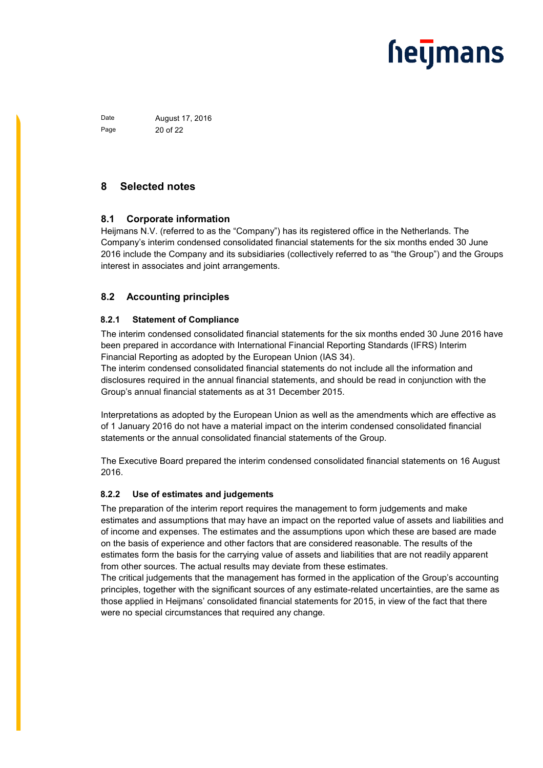Date **August 17, 2016** Page 20 of 22

### **8 Selected notes**

#### **8.1 Corporate information**

Heijmans N.V. (referred to as the "Company") has its registered office in the Netherlands. The Company's interim condensed consolidated financial statements for the six months ended 30 June 2016 include the Company and its subsidiaries (collectively referred to as "the Group") and the Groups interest in associates and joint arrangements.

### **8.2 Accounting principles**

#### **8.2.1 Statement of Compliance**

The interim condensed consolidated financial statements for the six months ended 30 June 2016 have been prepared in accordance with International Financial Reporting Standards (IFRS) Interim Financial Reporting as adopted by the European Union (IAS 34).

The interim condensed consolidated financial statements do not include all the information and disclosures required in the annual financial statements, and should be read in conjunction with the Group's annual financial statements as at 31 December 2015.

Interpretations as adopted by the European Union as well as the amendments which are effective as of 1 January 2016 do not have a material impact on the interim condensed consolidated financial statements or the annual consolidated financial statements of the Group.

The Executive Board prepared the interim condensed consolidated financial statements on 16 August 2016.

#### **8.2.2 Use of estimates and judgements**

The preparation of the interim report requires the management to form judgements and make estimates and assumptions that may have an impact on the reported value of assets and liabilities and of income and expenses. The estimates and the assumptions upon which these are based are made on the basis of experience and other factors that are considered reasonable. The results of the estimates form the basis for the carrying value of assets and liabilities that are not readily apparent from other sources. The actual results may deviate from these estimates.

The critical judgements that the management has formed in the application of the Group's accounting principles, together with the significant sources of any estimate-related uncertainties, are the same as those applied in Heijmans' consolidated financial statements for 2015, in view of the fact that there were no special circumstances that required any change.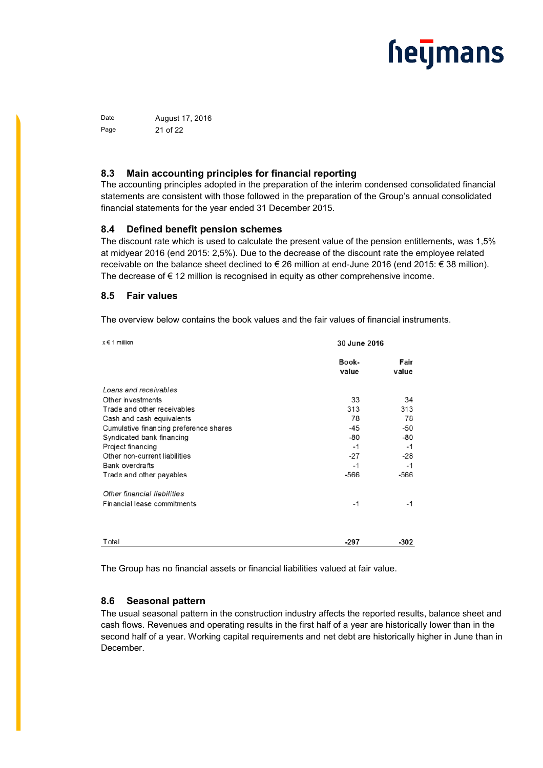Date **August 17, 2016** Page 21 of 22

#### **8.3 Main accounting principles for financial reporting**

The accounting principles adopted in the preparation of the interim condensed consolidated financial statements are consistent with those followed in the preparation of the Group's annual consolidated financial statements for the year ended 31 December 2015.

#### **8.4 Defined benefit pension schemes**

The discount rate which is used to calculate the present value of the pension entitlements, was 1,5% at midyear 2016 (end 2015: 2,5%). Due to the decrease of the discount rate the employee related receivable on the balance sheet declined to € 26 million at end-June 2016 (end 2015: € 38 million). The decrease of  $\epsilon$  12 million is recognised in equity as other comprehensive income.

#### **8.5 Fair values**

The overview below contains the book values and the fair values of financial instruments.

| $x \in 1$ million                      | 30 June 2016   |               |
|----------------------------------------|----------------|---------------|
|                                        | Book-<br>value | Fair<br>value |
| Loans and receivables                  |                |               |
| Other investments                      | 33             | 34            |
| Trade and other receivables            | 313            | 313           |
| Cash and cash equivalents              | 78             | 78            |
| Cumulative financing preference shares | $-45$          | -50           |
| Syndicated bank financing              | $-80$          | $-80$         |
| Project financing                      | $-1$           | $-1$          |
| Other non-current liabilities          | $-27$          | $-28$         |
| <b>Bank overdrafts</b>                 | -1             | $-1$          |
| Trade and other payables               | $-566$         | $-566$        |
| Other financial liabilities            |                |               |
| Financial lease commitments            | -1             | $-1$          |
|                                        |                |               |
| Total                                  | $-297$         | -302          |

The Group has no financial assets or financial liabilities valued at fair value.

#### **8.6 Seasonal pattern**

The usual seasonal pattern in the construction industry affects the reported results, balance sheet and cash flows. Revenues and operating results in the first half of a year are historically lower than in the second half of a year. Working capital requirements and net debt are historically higher in June than in December.